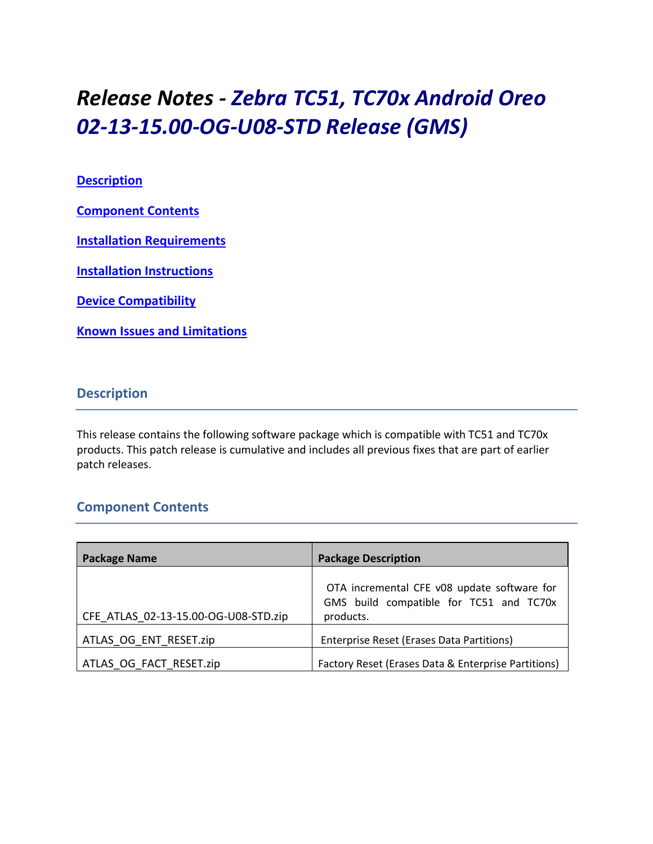# *Release Notes - Zebra TC51, TC70x Android Oreo 02-13-15.00-OG-U08-STD Release (GMS)*

#### **[Description](#page-0-0)**

**[Component Contents](#page-0-1)**

**[Installation Requirements](#page-2-0)**

**[Installation Instructions](#page-3-0)**

**[Device Compatibility](#page-4-0)**

**Known [Issues and Limitations](#page-5-0)**

#### <span id="page-0-0"></span>**Description**

This release contains the following software package which is compatible with TC51 and TC70x products. This patch release is cumulative and includes all previous fixes that are part of earlier patch releases.

## <span id="page-0-1"></span>**Component Contents**

| <b>Package Name</b>                  | <b>Package Description</b>                                                                          |
|--------------------------------------|-----------------------------------------------------------------------------------------------------|
| CFE ATLAS 02-13-15.00-OG-U08-STD.zip | OTA incremental CFE v08 update software for<br>GMS build compatible for TC51 and TC70x<br>products. |
| ATLAS OG ENT RESET.zip               | Enterprise Reset (Erases Data Partitions)                                                           |
| ATLAS OG FACT RESET.zip              | Factory Reset (Erases Data & Enterprise Partitions)                                                 |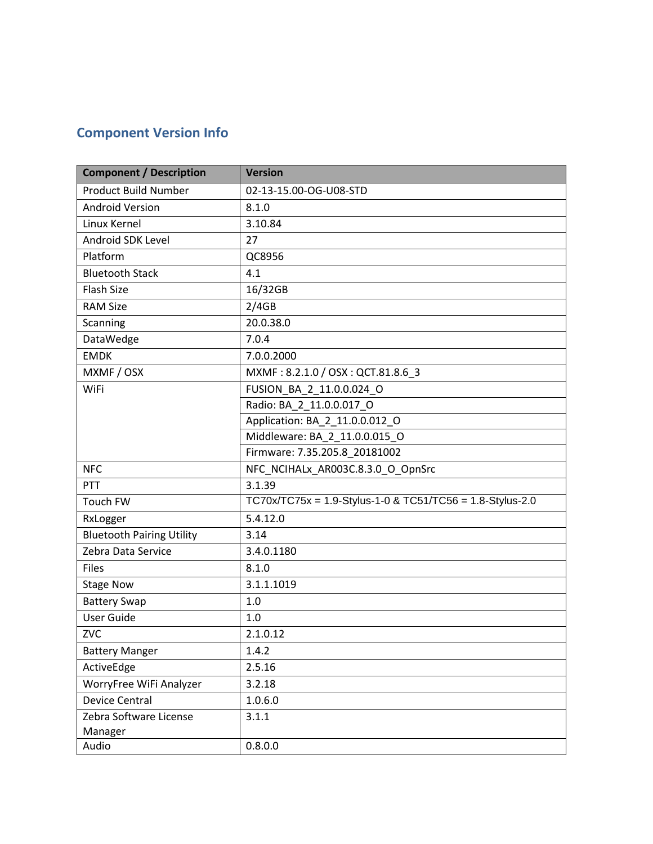# **Component Version Info**

| <b>Component / Description</b>   | <b>Version</b>                                            |  |
|----------------------------------|-----------------------------------------------------------|--|
| <b>Product Build Number</b>      | 02-13-15.00-OG-U08-STD                                    |  |
| <b>Android Version</b>           | 8.1.0                                                     |  |
| Linux Kernel                     | 3.10.84                                                   |  |
| Android SDK Level                | 27                                                        |  |
| Platform                         | QC8956                                                    |  |
| <b>Bluetooth Stack</b>           | 4.1                                                       |  |
| <b>Flash Size</b>                | 16/32GB                                                   |  |
| <b>RAM Size</b>                  | 2/4GB                                                     |  |
| Scanning                         | 20.0.38.0                                                 |  |
| DataWedge                        | 7.0.4                                                     |  |
| <b>EMDK</b>                      | 7.0.0.2000                                                |  |
| MXMF / OSX                       | MXMF: 8.2.1.0 / OSX: QCT.81.8.6_3                         |  |
| <b>WiFi</b>                      | FUSION BA 2 11.0.0.024 O                                  |  |
|                                  | Radio: BA_2_11.0.0.017_O                                  |  |
|                                  | Application: BA_2_11.0.0.012_O                            |  |
|                                  | Middleware: BA_2_11.0.0.015_O                             |  |
|                                  | Firmware: 7.35.205.8 20181002                             |  |
| <b>NFC</b>                       | NFC_NCIHALx_AR003C.8.3.0_O_OpnSrc                         |  |
| PTT                              | 3.1.39                                                    |  |
| Touch FW                         | TC70x/TC75x = 1.9-Stylus-1-0 & TC51/TC56 = 1.8-Stylus-2.0 |  |
| RxLogger                         | 5.4.12.0                                                  |  |
| <b>Bluetooth Pairing Utility</b> | 3.14                                                      |  |
| Zebra Data Service               | 3.4.0.1180                                                |  |
| <b>Files</b>                     | 8.1.0                                                     |  |
| <b>Stage Now</b>                 | 3.1.1.1019                                                |  |
| <b>Battery Swap</b>              | 1.0                                                       |  |
| <b>User Guide</b>                | 1.0                                                       |  |
| ZVC                              | 2.1.0.12                                                  |  |
| <b>Battery Manger</b>            | 1.4.2                                                     |  |
| ActiveEdge                       | 2.5.16                                                    |  |
| WorryFree WiFi Analyzer          | 3.2.18                                                    |  |
| <b>Device Central</b>            | 1.0.6.0                                                   |  |
| Zebra Software License           | 3.1.1                                                     |  |
| Manager                          |                                                           |  |
| Audio                            | 0.8.0.0                                                   |  |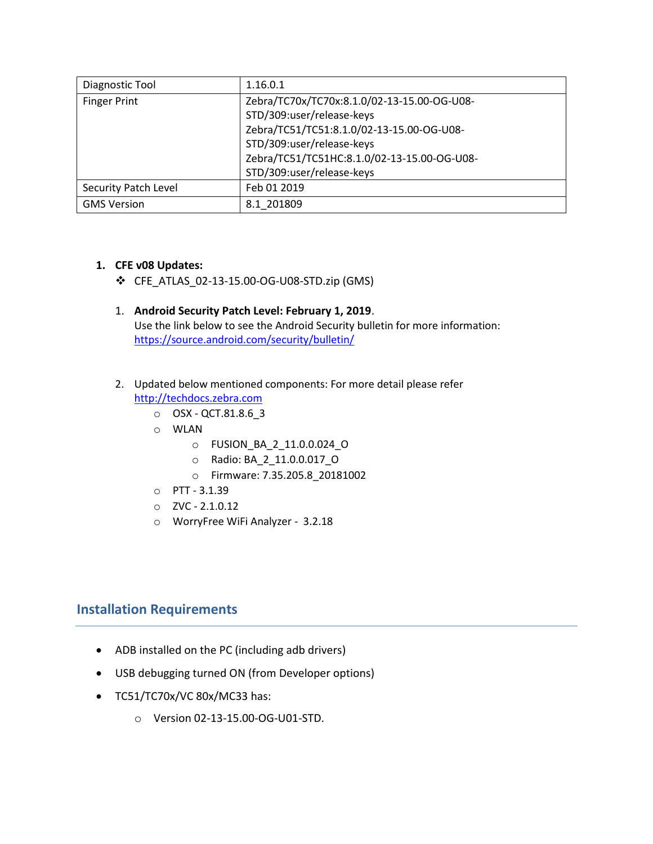| Diagnostic Tool      | 1.16.0.1                                    |
|----------------------|---------------------------------------------|
| <b>Finger Print</b>  | Zebra/TC70x/TC70x:8.1.0/02-13-15.00-OG-U08- |
|                      | STD/309:user/release-keys                   |
|                      | Zebra/TC51/TC51:8.1.0/02-13-15.00-OG-U08-   |
|                      | STD/309:user/release-keys                   |
|                      | Zebra/TC51/TC51HC:8.1.0/02-13-15.00-OG-U08- |
|                      | STD/309:user/release-keys                   |
| Security Patch Level | Feb 01 2019                                 |
| <b>GMS Version</b>   | 8.1 201809                                  |

#### **1. CFE v08 Updates:**

- ❖ CFE\_ATLAS\_02-13-15.00-OG-U08-STD.zip (GMS)
- 1. **Android Security Patch Level: February 1, 2019**. Use the link below to see the Android Security bulletin for more information: <https://source.android.com/security/bulletin/>

#### 2. Updated below mentioned components: For more detail please refer [http://techdocs.zebra.com](http://techdocs.zebra.com/)

- o OSX QCT.81.8.6\_3
- o WLAN
	- o FUSION\_BA\_2\_11.0.0.024\_O
	- o Radio: BA\_2\_11.0.0.017\_O
	- o Firmware: 7.35.205.8\_20181002
- o PTT 3.1.39
- $O$  ZVC 2.1.0.12
- o WorryFree WiFi Analyzer 3.2.18

#### <span id="page-2-0"></span>**Installation Requirements**

- ADB installed on the PC (including adb drivers)
- USB debugging turned ON (from Developer options)
- TC51/TC70x/VC 80x/MC33 has:
	- o Version 02-13-15.00-OG-U01-STD.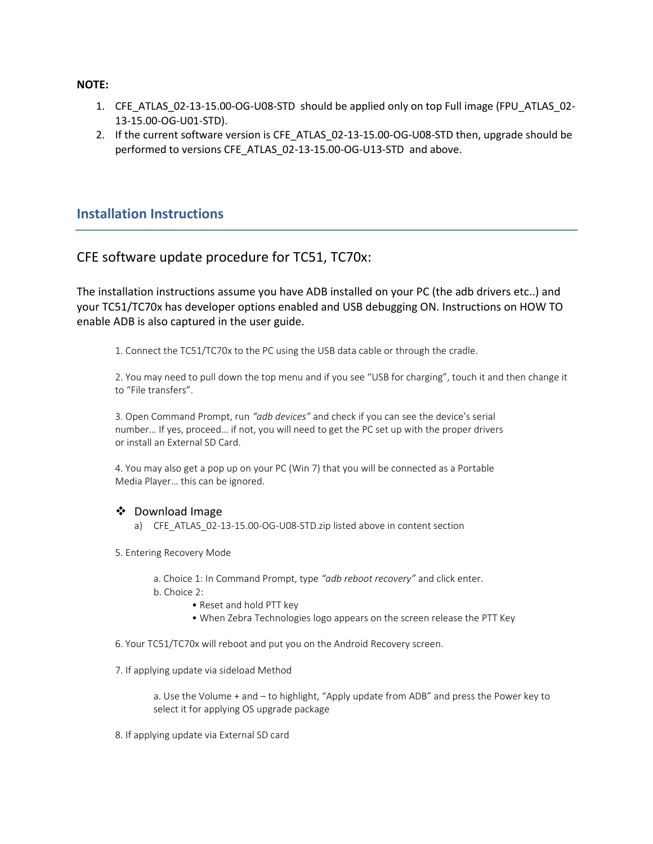#### **NOTE:**

- 1. CFE\_ATLAS\_02-13-15.00-OG-U08-STD should be applied only on top Full image (FPU\_ATLAS\_02- 13-15.00-OG-U01-STD).
- 2. If the current software version is CFE\_ATLAS\_02-13-15.00-OG-U08-STD then, upgrade should be performed to versions CFE\_ATLAS\_02-13-15.00-OG-U13-STD and above.

#### <span id="page-3-0"></span>**Installation Instructions**

#### CFE software update procedure for TC51, TC70x:

The installation instructions assume you have ADB installed on your PC (the adb drivers etc..) and your TC51/TC70x has developer options enabled and USB debugging ON. Instructions on HOW TO enable ADB is also captured in the user guide.

1. Connect the TC51/TC70x to the PC using the USB data cable or through the cradle.

2. You may need to pull down the top menu and if you see "USB for charging", touch it and then change it to "File transfers".

3. Open Command Prompt, run *"adb devices"* and check if you can see the device's serial number… If yes, proceed… if not, you will need to get the PC set up with the proper drivers or install an External SD Card.

4. You may also get a pop up on your PC (Win 7) that you will be connected as a Portable Media Player… this can be ignored.

#### ❖ Download Image

a) CFE\_ATLAS\_02-13-15.00-OG-U08-STD.zip listed above in content section

5. Entering Recovery Mode

- a. Choice 1: In Command Prompt, type *"adb reboot recovery"* and click enter.
- b. Choice 2:
	- Reset and hold PTT key
	- When Zebra Technologies logo appears on the screen release the PTT Key

6. Your TC51/TC70x will reboot and put you on the Android Recovery screen.

7. If applying update via sideload Method

a. Use the Volume + and – to highlight, "Apply update from ADB" and press the Power key to select it for applying OS upgrade package

8. If applying update via External SD card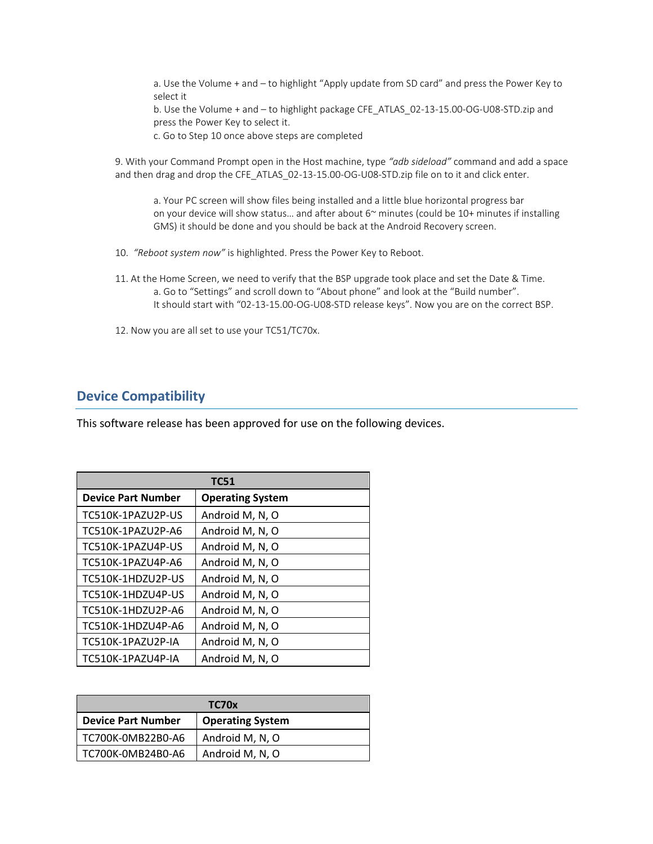a. Use the Volume + and – to highlight "Apply update from SD card" and press the Power Key to select it

b. Use the Volume + and – to highlight package CFE\_ATLAS\_02-13-15.00-OG-U08-STD.zip and press the Power Key to select it.

c. Go to Step 10 once above steps are completed

9. With your Command Prompt open in the Host machine, type *"adb sideload"* command and add a space and then drag and drop the CFE\_ATLAS\_02-13-15.00-OG-U08-STD.zip file on to it and click enter.

a. Your PC screen will show files being installed and a little blue horizontal progress bar on your device will show status... and after about  $6<sup>\sim</sup>$  minutes (could be 10+ minutes if installing GMS) it should be done and you should be back at the Android Recovery screen.

- 10. *"Reboot system now"* is highlighted. Press the Power Key to Reboot.
- 11. At the Home Screen, we need to verify that the BSP upgrade took place and set the Date & Time. a. Go to "Settings" and scroll down to "About phone" and look at the "Build number". It should start with "02-13-15.00-OG-U08-STD release keys". Now you are on the correct BSP.
- 12. Now you are all set to use your TC51/TC70x.

#### <span id="page-4-0"></span>**Device Compatibility**

This software release has been approved for use on the following devices.

| <b>TC51</b>               |                         |  |
|---------------------------|-------------------------|--|
| <b>Device Part Number</b> | <b>Operating System</b> |  |
| TC510K-1PAZU2P-US         | Android M, N, O         |  |
| TC510K-1PAZU2P-A6         | Android M, N, O         |  |
| TC510K-1PAZU4P-US         | Android M, N, O         |  |
| TC510K-1PAZU4P-A6         | Android M, N, O         |  |
| TC510K-1HDZU2P-US         | Android M, N, O         |  |
| TC510K-1HDZU4P-US         | Android M, N, O         |  |
| TC510K-1HDZU2P-A6         | Android M, N, O         |  |
| TC510K-1HDZU4P-A6         | Android M, N, O         |  |
| TC510K-1PAZU2P-IA         | Android M, N, O         |  |
| TC510K-1PAZU4P-IA         | Android M, N, O         |  |

| TC70x                     |                         |  |
|---------------------------|-------------------------|--|
| <b>Device Part Number</b> | <b>Operating System</b> |  |
| TC700K-0MB22B0-A6         | Android M, N, O         |  |
| TC700K-0MB24B0-A6         | Android M, N, O         |  |